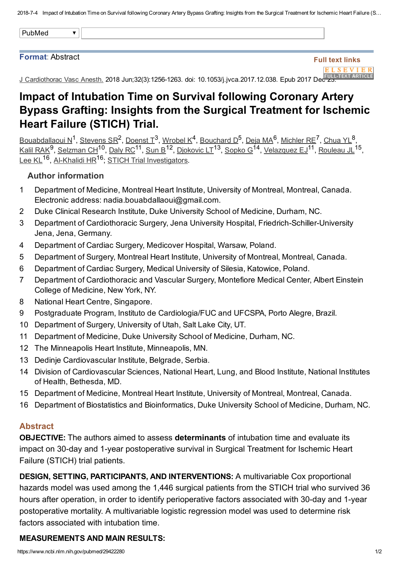2018-7-4 Impact of Intubation Time on Survival following Coronary Artery Bypass Grafting: Insights from the Surgical Treatment for Ischemic Heart Failure (S...

|--|--|--|

#### Format: Abstract

# Full text links **ELSEVIER**

J Cardiothorac Vasc Anesth. 2018 Jun;32(3):12561263. doi: 10.1053/j.jvca.2017.12.038. Epub 2017 Dec [23.](https://linkinghub.elsevier.com/retrieve/pii/S1053-0770(17)31030-3)

# Impact of Intubation Time on Survival following Coronary Artery Bypass Grafting: Insights from the Surgical Treatment for Ischemic Heart Failure (STICH) Trial.

[Bouabdallaoui](https://www.ncbi.nlm.nih.gov/pubmed/?term=Bouabdallaoui%20N%5BAuthor%5D&cauthor=true&cauthor_uid=29422280) N<sup>1</sup>, [Stevens](https://www.ncbi.nlm.nih.gov/pubmed/?term=Stevens%20SR%5BAuthor%5D&cauthor=true&cauthor_uid=29422280) SR<sup>2</sup>, [Doenst](https://www.ncbi.nlm.nih.gov/pubmed/?term=Doenst%20T%5BAuthor%5D&cauthor=true&cauthor_uid=29422280) T<sup>3</sup>, [Wrobel](https://www.ncbi.nlm.nih.gov/pubmed/?term=Wrobel%20K%5BAuthor%5D&cauthor=true&cauthor_uid=29422280) K<sup>4</sup>, [Bouchard](https://www.ncbi.nlm.nih.gov/pubmed/?term=Bouchard%20D%5BAuthor%5D&cauthor=true&cauthor_uid=29422280) D<sup>5</sup>, [Deja](https://www.ncbi.nlm.nih.gov/pubmed/?term=Deja%20MA%5BAuthor%5D&cauthor=true&cauthor_uid=29422280) MA<sup>6</sup>, [Michler](https://www.ncbi.nlm.nih.gov/pubmed/?term=Michler%20RE%5BAuthor%5D&cauthor=true&cauthor_uid=29422280) RE<sup>7</sup>, [Chua](https://www.ncbi.nlm.nih.gov/pubmed/?term=Chua%20YL%5BAuthor%5D&cauthor=true&cauthor_uid=29422280) YL<sup>8</sup>, Kalil [RAK](https://www.ncbi.nlm.nih.gov/pubmed/?term=Kalil%20RAK%5BAuthor%5D&cauthor=true&cauthor_uid=29422280)<sup>9</sup>, [Selzman](https://www.ncbi.nlm.nih.gov/pubmed/?term=Selzman%20CH%5BAuthor%5D&cauthor=true&cauthor_uid=29422280) CH<sup>10</sup>, [Daly](https://www.ncbi.nlm.nih.gov/pubmed/?term=Daly%20RC%5BAuthor%5D&cauthor=true&cauthor_uid=29422280) RC<sup>11</sup>, [Sun](https://www.ncbi.nlm.nih.gov/pubmed/?term=Sun%20B%5BAuthor%5D&cauthor=true&cauthor_uid=29422280) B<sup>12</sup>, [Djokovic](https://www.ncbi.nlm.nih.gov/pubmed/?term=Djokovic%20LT%5BAuthor%5D&cauthor=true&cauthor_uid=29422280) LT<sup>13</sup>, [Sopko](https://www.ncbi.nlm.nih.gov/pubmed/?term=Sopko%20G%5BAuthor%5D&cauthor=true&cauthor_uid=29422280) G<sup>14</sup>, [Velazquez](https://www.ncbi.nlm.nih.gov/pubmed/?term=Velazquez%20EJ%5BAuthor%5D&cauthor=true&cauthor_uid=29422280) EJ<sup>11</sup>, [Rouleau](https://www.ncbi.nlm.nih.gov/pubmed/?term=Rouleau%20JL%5BAuthor%5D&cauthor=true&cauthor_uid=29422280) JL<sup>15</sup>, [Lee](https://www.ncbi.nlm.nih.gov/pubmed/?term=Lee%20KL%5BAuthor%5D&cauthor=true&cauthor_uid=29422280) KL<sup>16</sup>, Al-Khalidi HR<sup>16</sup>; STICH Trial [Investigators.](https://www.ncbi.nlm.nih.gov/pubmed/?term=STICH%20Trial%20Investigators%5BCorporate%20Author%5D) 1 Stevens SP<sup>2</sup> Doenst T<sup>3</sup> Wrobel K<sup>4</sup> Bourbard D<sup>5</sup> Deja MA<sup>6</sup> Michler PF<sup>7</sup> Chua VI <sup>8</sup>  $9$  Selzman CH<sup>10</sup> Daly RC<sup>11</sup> Sun R<sup>12</sup> Diokovic LT<sup>13</sup> Sonko C<sup>14</sup> Velazquez E I<sup>11</sup> Rouleau II<sup>15</sup>

#### Author information

- 1 Department of Medicine, Montreal Heart Institute, University of Montreal, Montreal, Canada. Electronic address: nadia.bouabdallaoui@gmail.com.
- 2 Duke Clinical Research Institute, Duke University School of Medicine, Durham, NC.
- 3 Department of Cardiothoracic Surgery, Jena University Hospital, Friedrich-Schiller-University Jena, Jena, Germany.
- 4 Department of Cardiac Surgery, Medicover Hospital, Warsaw, Poland.
- 5 Department of Surgery, Montreal Heart Institute, University of Montreal, Montreal, Canada.
- 6 Department of Cardiac Surgery, Medical University of Silesia, Katowice, Poland.
- 7 Department of Cardiothoracic and Vascular Surgery, Montefiore Medical Center, Albert Einstein College of Medicine, New York, NY.
- 8 National Heart Centre, Singapore.
- 9 Postgraduate Program, Instituto de Cardiologia/FUC and UFCSPA, Porto Alegre, Brazil.
- 10 Department of Surgery, University of Utah, Salt Lake City, UT.
- 11 Department of Medicine, Duke University School of Medicine, Durham, NC.
- 12 The Minneapolis Heart Institute, Minneapolis, MN.
- 13 Dedinje Cardiovascular Institute, Belgrade, Serbia.
- 14 Division of Cardiovascular Sciences, National Heart, Lung, and Blood Institute, National Institutes of Health, Bethesda, MD.
- 15 Department of Medicine, Montreal Heart Institute, University of Montreal, Montreal, Canada.
- 16 Department of Biostatistics and Bioinformatics, Duke University School of Medicine, Durham, NC.

#### Abstract

OBJECTIVE: The authors aimed to assess determinants of intubation time and evaluate its impact on 30-day and 1-year postoperative survival in Surgical Treatment for Ischemic Heart Failure (STICH) trial patients.

DESIGN, SETTING, PARTICIPANTS, AND INTERVENTIONS: A multivariable Cox proportional hazards model was used among the 1,446 surgical patients from the STICH trial who survived 36 hours after operation, in order to identify perioperative factors associated with 30-day and 1-year postoperative mortality. A multivariable logistic regression model was used to determine risk factors associated with intubation time.

## MEASUREMENTS AND MAIN RESULTS: